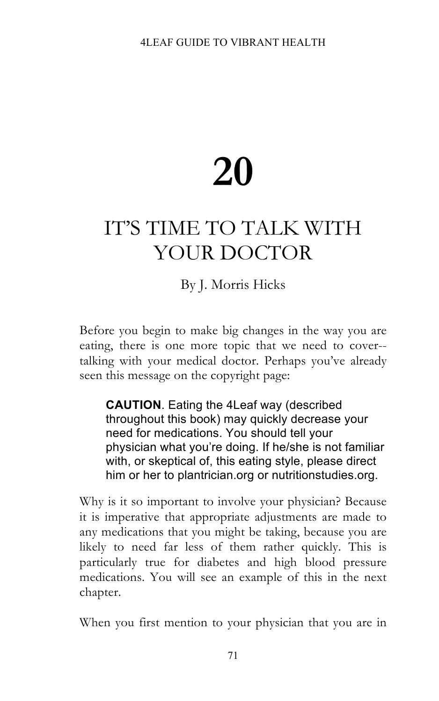## **20**

## IT'S TIME TO TALK WITH YOUR DOCTOR

## By J. Morris Hicks

Before you begin to make big changes in the way you are eating, there is one more topic that we need to cover- talking with your medical doctor. Perhaps you've already seen this message on the copyright page:

**CAUTION**. Eating the 4Leaf way (described throughout this book) may quickly decrease your need for medications. You should tell your physician what you're doing. If he/she is not familiar with, or skeptical of, this eating style, please direct him or her to plantrician.org or nutritionstudies.org.

Why is it so important to involve your physician? Because it is imperative that appropriate adjustments are made to any medications that you might be taking, because you are likely to need far less of them rather quickly. This is particularly true for diabetes and high blood pressure medications. You will see an example of this in the next chapter.

When you first mention to your physician that you are in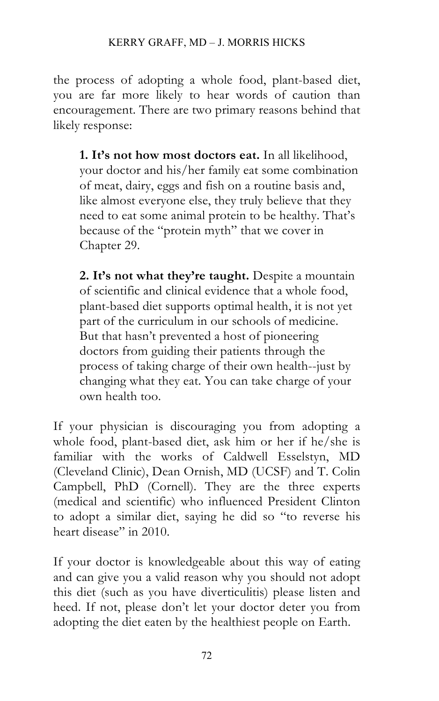the process of adopting a whole food, plant-based diet, you are far more likely to hear words of caution than encouragement. There are two primary reasons behind that likely response:

**1. It's not how most doctors eat.** In all likelihood, your doctor and his/her family eat some combination of meat, dairy, eggs and fish on a routine basis and, like almost everyone else, they truly believe that they need to eat some animal protein to be healthy. That's because of the "protein myth" that we cover in Chapter 29.

**2. It's not what they're taught.** Despite a mountain of scientific and clinical evidence that a whole food, plant-based diet supports optimal health, it is not yet part of the curriculum in our schools of medicine. But that hasn't prevented a host of pioneering doctors from guiding their patients through the process of taking charge of their own health--just by changing what they eat. You can take charge of your own health too.

If your physician is discouraging you from adopting a whole food, plant-based diet, ask him or her if he/she is familiar with the works of Caldwell Esselstyn, MD (Cleveland Clinic), Dean Ornish, MD (UCSF) and T. Colin Campbell, PhD (Cornell). They are the three experts (medical and scientific) who influenced President Clinton to adopt a similar diet, saying he did so "to reverse his heart disease" in 2010.

If your doctor is knowledgeable about this way of eating and can give you a valid reason why you should not adopt this diet (such as you have diverticulitis) please listen and heed. If not, please don't let your doctor deter you from adopting the diet eaten by the healthiest people on Earth.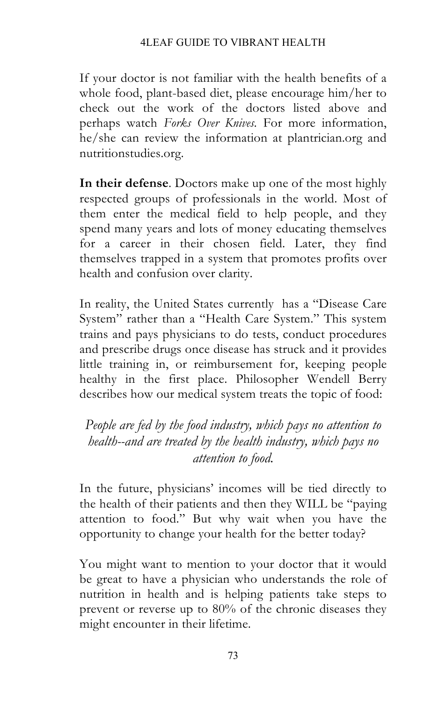If your doctor is not familiar with the health benefits of a whole food, plant-based diet, please encourage him/her to check out the work of the doctors listed above and perhaps watch *Forks Over Knives.* For more information, he/she can review the information at plantrician.org and nutritionstudies.org.

**In their defense**. Doctors make up one of the most highly respected groups of professionals in the world. Most of them enter the medical field to help people, and they spend many years and lots of money educating themselves for a career in their chosen field. Later, they find themselves trapped in a system that promotes profits over health and confusion over clarity.

In reality, the United States currently has a "Disease Care System" rather than a "Health Care System." This system trains and pays physicians to do tests, conduct procedures and prescribe drugs once disease has struck and it provides little training in, or reimbursement for, keeping people healthy in the first place. Philosopher Wendell Berry describes how our medical system treats the topic of food:

*People are fed by the food industry, which pays no attention to health--and are treated by the health industry, which pays no attention to food.*

In the future, physicians' incomes will be tied directly to the health of their patients and then they WILL be "paying attention to food." But why wait when you have the opportunity to change your health for the better today?

You might want to mention to your doctor that it would be great to have a physician who understands the role of nutrition in health and is helping patients take steps to prevent or reverse up to 80% of the chronic diseases they might encounter in their lifetime.